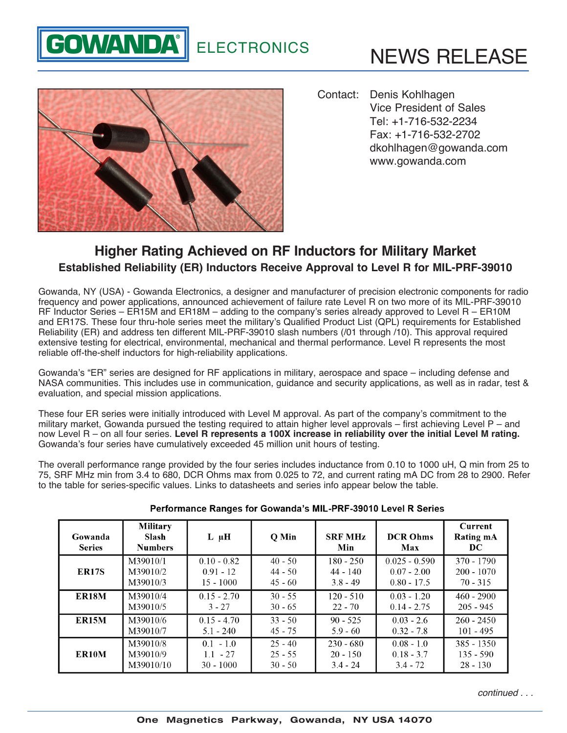## **GOWANDA<sup>®</sup>** ELECTRONICS





Contact: Denis Kohlhagen Vice President of Sales Tel: +1-716-532-2234 Fax: +1-716-532-2702 [dkohlhagen@gowanda.com](mailto:dkohlhagen%40gowanda.com) <www.gowanda.com>

## **Higher Rating Achieved on RF Inductors for Military Market Established Reliability (ER) Inductors Receive Approval to Level R for MIL-PRF-39010**

Gowanda, NY (USA) - [Gowanda Electronics,](http://www.gowanda.com) a designer and manufacturer of precision electronic components for radio frequency and power applications, announced achievement of failure rate Level R on two more of its MIL-PRF-39010 RF Inductor Series – [ER15M](http://www.gowanda.com/index.php/catalog/qpl/er15m-detail.html) and [ER18M](http://www.gowanda.com/index.php/catalog/qpl/er18m-detail.html) – adding to the company's series already approved to Level R – [ER10M](http://www.gowanda.com/index.php/catalog/qpl/er10m-detail.html) and [ER17S](http://www.gowanda.com/index.php/catalog/qpl/er17s-detail.html). These four thru-hole series meet the military's Qualified Product List (QPL) requirements for Established Reliability (ER) and address ten different MIL-PRF-39010 slash numbers (/01 through /10). This approval required extensive testing for electrical, environmental, mechanical and thermal performance. Level R represents the most reliable off-the-shelf inductors for high-reliability applications.

Gowanda's "ER" series are designed for RF applications in military, aerospace and space – including defense and NASA communities. This includes use in communication, guidance and security applications, as well as in radar, test & evaluation, and special mission applications.

These four ER series were initially introduced with Level M approval. As part of the company's commitment to the military market, Gowanda pursued the testing required to attain higher level approvals – first achieving Level P – and now Level R – on all four series. **Level R represents a 100X increase in reliability over the initial Level M rating.** Gowanda's four series have cumulatively exceeded 45 million unit hours of testing.

The overall performance range provided by the four series includes inductance from 0.10 to 1000 uH, Q min from 25 to 75, SRF MHz min from 3.4 to 680, DCR Ohms max from 0.025 to 72, and current rating mA DC from 28 to 2900. Refer to the table for series-specific values. Links to datasheets and series info appear below the table.

| Gowanda<br><b>Series</b> | <b>Military</b><br><b>Slash</b><br><b>Numbers</b> | $L \mu H$     | Q Min     | <b>SRF MHz</b><br>Min | <b>DCR Ohms</b><br>Max | <b>Current</b><br><b>Rating mA</b><br>DC. |
|--------------------------|---------------------------------------------------|---------------|-----------|-----------------------|------------------------|-------------------------------------------|
| <b>ER17S</b>             | M39010/1                                          | $0.10 - 0.82$ | $40 - 50$ | $180 - 250$           | $0.025 - 0.590$        | $370 - 1790$                              |
|                          | M39010/2                                          | $0.91 - 12$   | $44 - 50$ | $44 - 140$            | $0.07 - 2.00$          | $200 - 1070$                              |
|                          | M39010/3                                          | $15 - 1000$   | $45 - 60$ | $3.8 - 49$            | $0.80 - 17.5$          | $70 - 315$                                |
| ER <sub>18</sub> M       | M39010/4                                          | $0.15 - 2.70$ | $30 - 55$ | $120 - 510$           | $0.03 - 1.20$          | $460 - 2900$                              |
|                          | M39010/5                                          | $3 - 27$      | $30 - 65$ | $22 - 70$             | $0.14 - 2.75$          | $205 - 945$                               |
| <b>ER15M</b>             | M39010/6                                          | $0.15 - 4.70$ | $33 - 50$ | $90 - 525$            | $0.03 - 2.6$           | $260 - 2450$                              |
|                          | M39010/7                                          | $5.1 - 240$   | $45 - 75$ | $5.9 - 60$            | $0.32 - 7.8$           | $101 - 495$                               |
| ER <sub>10</sub> M       | M39010/8                                          | $0.1 - 1.0$   | $25 - 40$ | $230 - 680$           | $0.08 - 1.0$           | $385 - 1350$                              |
|                          | M39010/9                                          | $11 - 27$     | $25 - 55$ | $20 - 150$            | $0.18 - 3.7$           | $135 - 590$                               |
|                          | M39010/10                                         | $30 - 1000$   | $30 - 50$ | $3.4 - 24$            | $3.4 - 72$             | $28 - 130$                                |

## Performance Ranges for Gowanda's MIL-PRF-39010 Level R Series

*continued . . .*